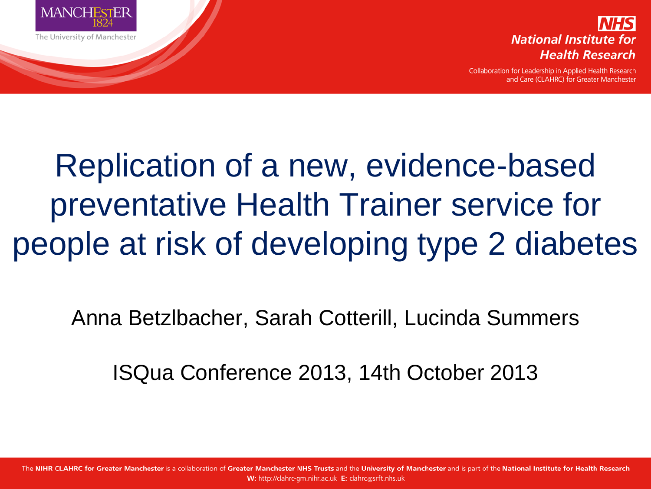



Collaboration for Leadership in Applied Health Research and Care (CLAHRC) for Greater Manchester

# Replication of a new, evidence-based preventative Health Trainer service for people at risk of developing type 2 diabetes

Anna Betzlbacher, Sarah Cotterill, Lucinda Summers

ISQua Conference 2013, 14th October 2013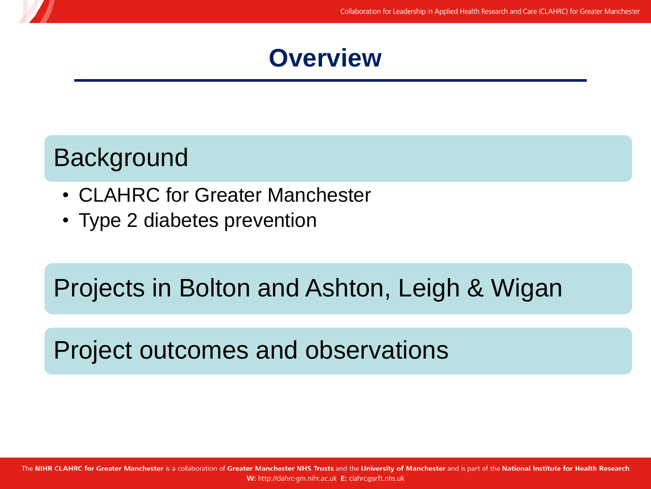#### **Overview**

### **Background**

- CLAHRC for Greater Manchester
- Type 2 diabetes prevention

## Projects in Bolton and Ashton, Leigh & Wigan

#### Project outcomes and observations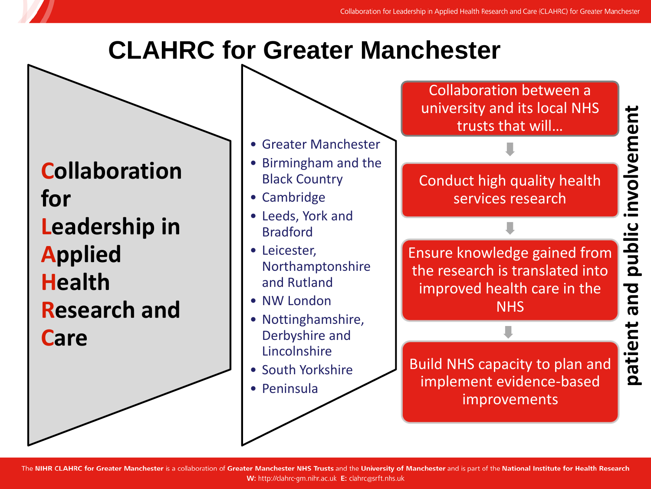#### **CLAHRC for Greater Manchester**

**Collaboration for Leadership in Applied Health Research and Care**

- Greater Manchester
- Birmingham and the Black Country
- Cambridge
- Leeds, York and Bradford
- Leicester, Northamptonshire and Rutland
- NW London
- Nottinghamshire, Derbyshire and Lincolnshire
- South Yorkshire
- Peninsula

Collaboration between a university and its local NHS trusts that will…

#### Conduct high quality health services research

Ensure knowledge gained from the research is translated into improved health care in the **NHS** 

Build NHS capacity to plan and implement evidence-based improvements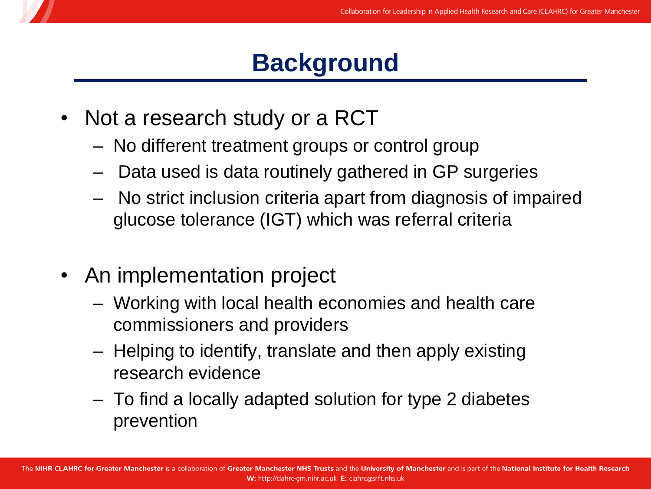#### **Background**

- Not a research study or a RCT
	- No different treatment groups or control group
	- Data used is data routinely gathered in GP surgeries
	- No strict inclusion criteria apart from diagnosis of impaired glucose tolerance (IGT) which was referral criteria
- An implementation project
	- Working with local health economies and health care commissioners and providers
	- Helping to identify, translate and then apply existing research evidence
	- To find a locally adapted solution for type 2 diabetes prevention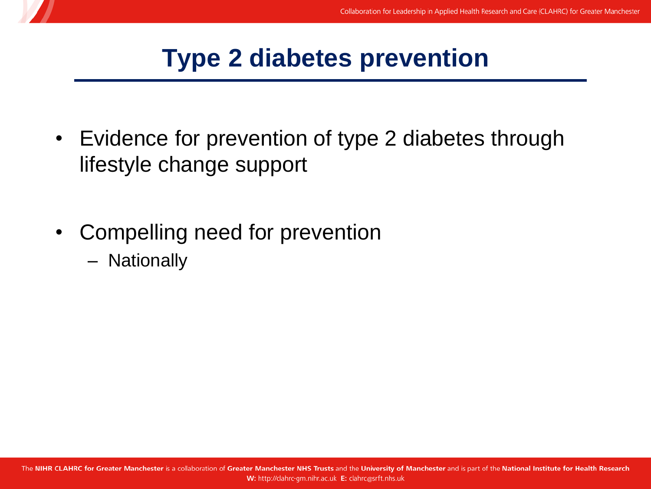#### **Type 2 diabetes prevention**

- Evidence for prevention of type 2 diabetes through lifestyle change support
- Compelling need for prevention
	- Nationally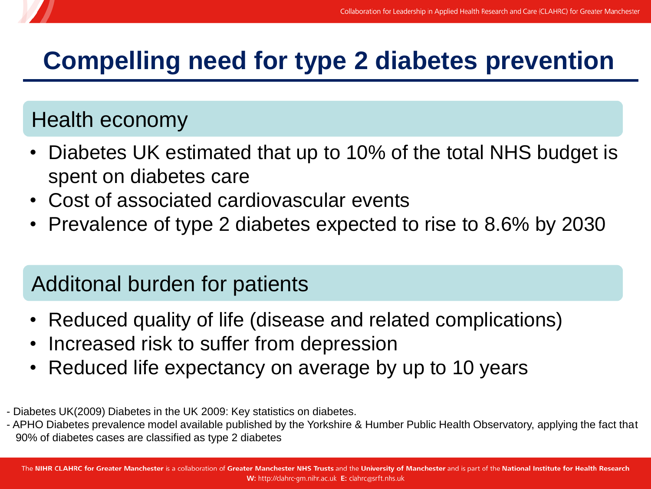## **Compelling need for type 2 diabetes prevention**

#### Health economy

- Diabetes UK estimated that up to 10% of the total NHS budget is spent on diabetes care
- Cost of associated cardiovascular events
- Prevalence of type 2 diabetes expected to rise to 8.6% by 2030

#### Additonal burden for patients

- Reduced quality of life (disease and related complications)
- Increased risk to suffer from depression
- Reduced life expectancy on average by up to 10 years
- Diabetes UK(2009) Diabetes in the UK 2009: Key statistics on diabetes.
- APHO Diabetes prevalence model available published by the Yorkshire & Humber Public Health Observatory, applying the fact that 90% of diabetes cases are classified as type 2 diabetes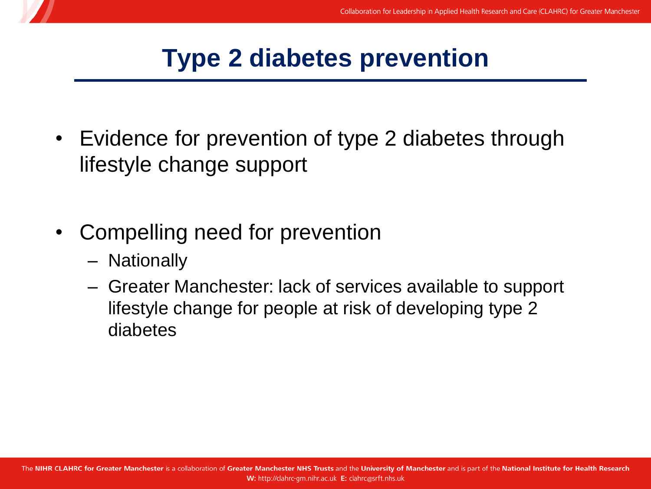#### **Type 2 diabetes prevention**

- Evidence for prevention of type 2 diabetes through lifestyle change support
- Compelling need for prevention
	- Nationally
	- Greater Manchester: lack of services available to support lifestyle change for people at risk of developing type 2 diabetes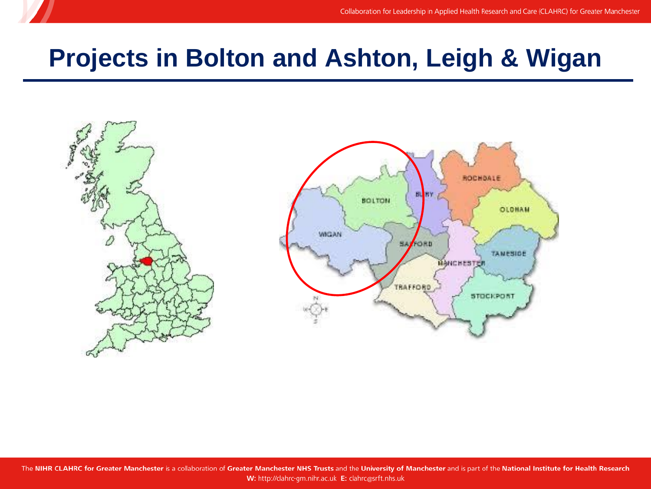#### **Projects in Bolton and Ashton, Leigh & Wigan**

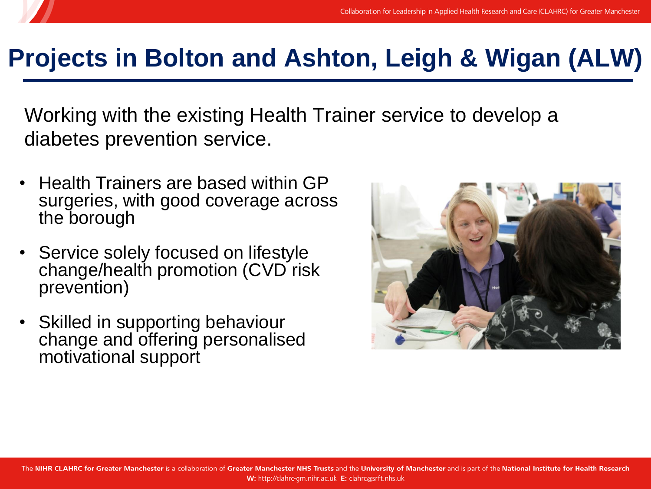### **Projects in Bolton and Ashton, Leigh & Wigan (ALW)**

Working with the existing Health Trainer service to develop a diabetes prevention service.

- Health Trainers are based within GP surgeries, with good coverage across the borough
- Service solely focused on lifestyle change/health promotion (CVD risk prevention)
- Skilled in supporting behaviour change and offering personalised motivational support

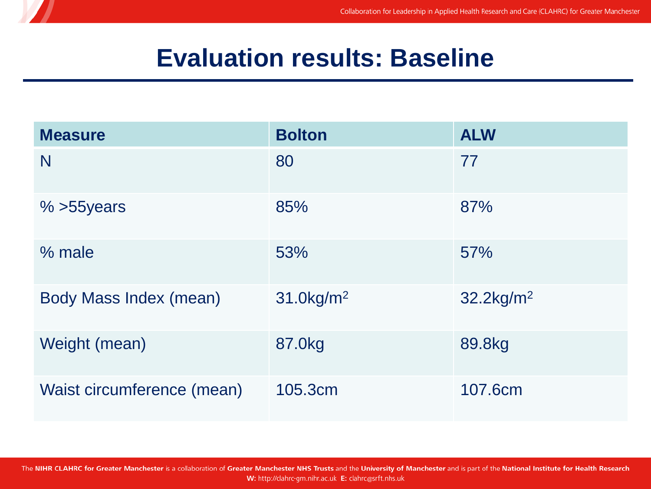#### **Evaluation results: Baseline**

| <b>Measure</b>             | <b>Bolton</b>            | <b>ALW</b>               |
|----------------------------|--------------------------|--------------------------|
| N                          | 80                       | 77                       |
| $%$ >55years               | 85%                      | 87%                      |
| $%$ male                   | 53%                      | 57%                      |
| Body Mass Index (mean)     | $31.0$ kg/m <sup>2</sup> | $32.2$ kg/m <sup>2</sup> |
| Weight (mean)              | 87.0kg                   | 89.8kg                   |
| Waist circumference (mean) | 105.3cm                  | 107.6cm                  |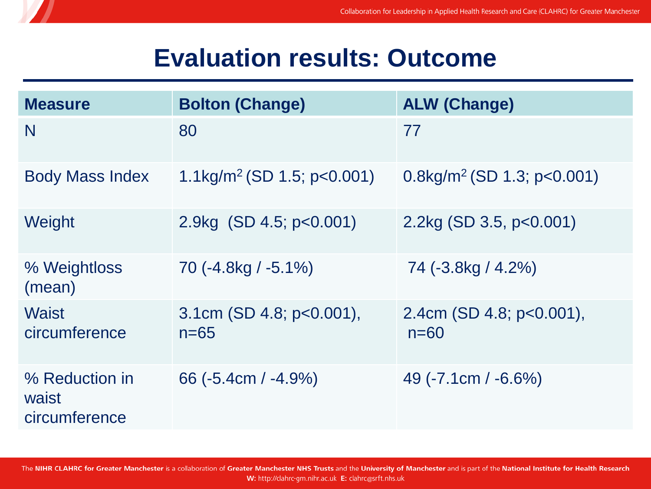#### **Evaluation results: Outcome**

| <b>Measure</b>                           | <b>Bolton (Change)</b>                   | <b>ALW (Change)</b>                       |
|------------------------------------------|------------------------------------------|-------------------------------------------|
| N                                        | 80                                       | 77                                        |
| <b>Body Mass Index</b>                   | $1.1\,\mathrm{kg/m^2(SD\,1.5; p<0.001)}$ | $0.8$ kg/m <sup>2</sup> (SD 1.3; p<0.001) |
| Weight                                   | 2.9kg (SD 4.5; p<0.001)                  | 2.2kg (SD 3.5, p<0.001)                   |
| % Weightloss<br>(mean)                   | 70 (-4.8kg / -5.1%)                      | 74 (-3.8kg / 4.2%)                        |
| <b>Waist</b><br>circumference            | 3.1cm (SD 4.8; $p<0.001$ ),<br>$n=65$    | 2.4cm (SD 4.8; $p<0.001$ ),<br>$n=60$     |
| % Reduction in<br>waist<br>circumference | 66 $(-5.4cm / -4.9%)$                    | 49 (-7.1cm / -6.6%)                       |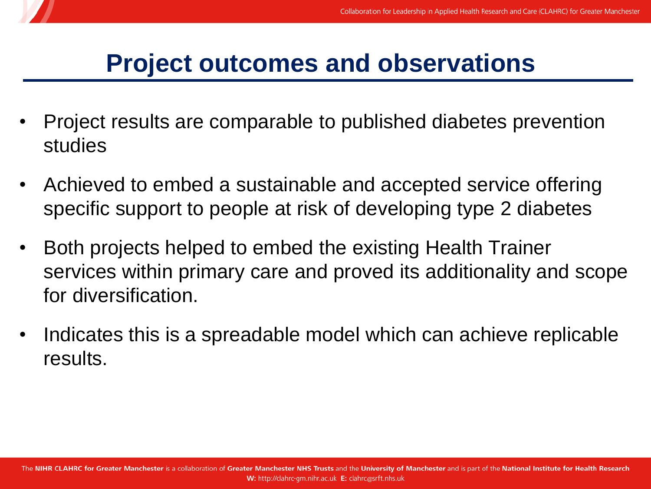#### **Project outcomes and observations**

- Project results are comparable to published diabetes prevention studies
- Achieved to embed a sustainable and accepted service offering specific support to people at risk of developing type 2 diabetes
- Both projects helped to embed the existing Health Trainer services within primary care and proved its additionality and scope for diversification.
- Indicates this is a spreadable model which can achieve replicable results.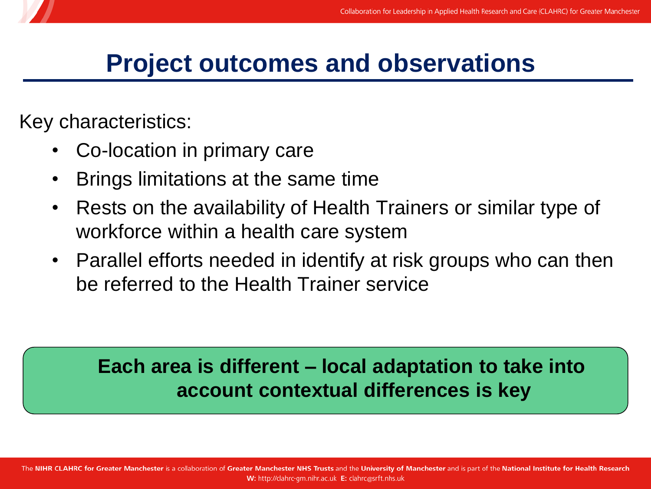### **Project outcomes and observations**

Key characteristics:

- Co-location in primary care
- Brings limitations at the same time
- Rests on the availability of Health Trainers or similar type of workforce within a health care system
- Parallel efforts needed in identify at risk groups who can then be referred to the Health Trainer service

#### **Each area is different – local adaptation to take into account contextual differences is key**